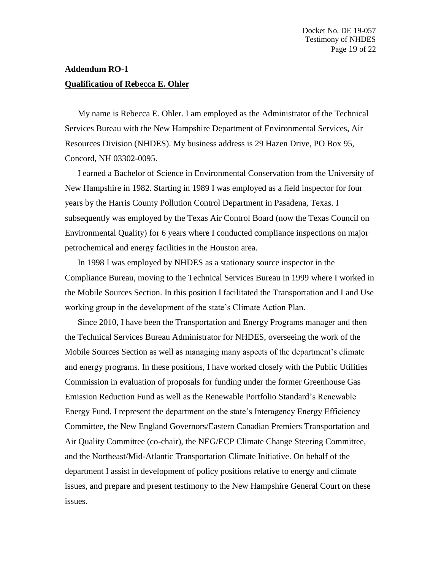## **Addendum RO-1 Qualification of Rebecca E. Ohler**

My name is Rebecca E. Ohler. I am employed as the Administrator of the Technical Services Bureau with the New Hampshire Department of Environmental Services, Air Resources Division (NHDES). My business address is 29 Hazen Drive, PO Box 95, Concord, NH 03302-0095.

I earned a Bachelor of Science in Environmental Conservation from the University of New Hampshire in 1982. Starting in 1989 I was employed as a field inspector for four years by the Harris County Pollution Control Department in Pasadena, Texas. I subsequently was employed by the Texas Air Control Board (now the Texas Council on Environmental Quality) for 6 years where I conducted compliance inspections on major petrochemical and energy facilities in the Houston area.

In 1998 I was employed by NHDES as a stationary source inspector in the Compliance Bureau, moving to the Technical Services Bureau in 1999 where I worked in the Mobile Sources Section. In this position I facilitated the Transportation and Land Use working group in the development of the state's Climate Action Plan.

Since 2010, I have been the Transportation and Energy Programs manager and then the Technical Services Bureau Administrator for NHDES, overseeing the work of the Mobile Sources Section as well as managing many aspects of the department's climate and energy programs. In these positions, I have worked closely with the Public Utilities Commission in evaluation of proposals for funding under the former Greenhouse Gas Emission Reduction Fund as well as the Renewable Portfolio Standard's Renewable Energy Fund. I represent the department on the state's Interagency Energy Efficiency Committee, the New England Governors/Eastern Canadian Premiers Transportation and Air Quality Committee (co-chair), the NEG/ECP Climate Change Steering Committee, and the Northeast/Mid-Atlantic Transportation Climate Initiative. On behalf of the department I assist in development of policy positions relative to energy and climate issues, and prepare and present testimony to the New Hampshire General Court on these issues.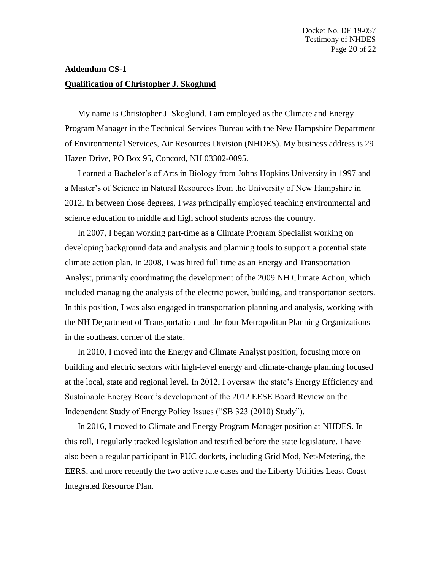## **Addendum CS-1 Qualification of Christopher J. Skoglund**

My name is Christopher J. Skoglund. I am employed as the Climate and Energy Program Manager in the Technical Services Bureau with the New Hampshire Department of Environmental Services, Air Resources Division (NHDES). My business address is 29 Hazen Drive, PO Box 95, Concord, NH 03302-0095.

I earned a Bachelor's of Arts in Biology from Johns Hopkins University in 1997 and a Master's of Science in Natural Resources from the University of New Hampshire in 2012. In between those degrees, I was principally employed teaching environmental and science education to middle and high school students across the country.

In 2007, I began working part-time as a Climate Program Specialist working on developing background data and analysis and planning tools to support a potential state climate action plan. In 2008, I was hired full time as an Energy and Transportation Analyst, primarily coordinating the development of the 2009 NH Climate Action, which included managing the analysis of the electric power, building, and transportation sectors. In this position, I was also engaged in transportation planning and analysis, working with the NH Department of Transportation and the four Metropolitan Planning Organizations in the southeast corner of the state.

In 2010, I moved into the Energy and Climate Analyst position, focusing more on building and electric sectors with high-level energy and climate-change planning focused at the local, state and regional level. In 2012, I oversaw the state's Energy Efficiency and Sustainable Energy Board's development of the 2012 EESE Board Review on the Independent Study of Energy Policy Issues ("SB 323 (2010) Study").

In 2016, I moved to Climate and Energy Program Manager position at NHDES. In this roll, I regularly tracked legislation and testified before the state legislature. I have also been a regular participant in PUC dockets, including Grid Mod, Net-Metering, the EERS, and more recently the two active rate cases and the Liberty Utilities Least Coast Integrated Resource Plan.